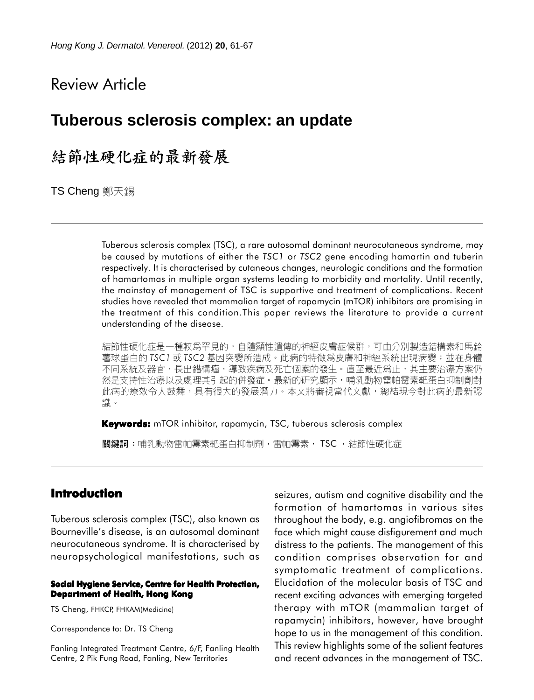# Review Article

# **Tuberous sclerosis complex: an update**

# 結節性硬化症的最新發展

TS Cheng 鄭天錫

Tuberous sclerosis complex (TSC), a rare autosomal dominant neurocutaneous syndrome, may be caused by mutations of either the *TSC1* or *TSC2* gene encoding hamartin and tuberin respectively. It is characterised by cutaneous changes, neurologic conditions and the formation of hamartomas in multiple organ systems leading to morbidity and mortality. Until recently, the mainstay of management of TSC is supportive and treatment of complications. Recent studies have revealed that mammalian target of rapamycin (mTOR) inhibitors are promising in the treatment of this condition.This paper reviews the literature to provide a current understanding of the disease.

結節性硬化症是一種較爲罕見的,自體顯性遺傳的神經皮膚症候群,可由分別製造錯構素和馬鈴 薯球蛋白的 TSC1 或 TSC2 基因突變所造成。此病的特徵爲皮膚和神經系統出現病變;並在身體 不同系統及器官,長出錯構瘤,導致疾病及死亡個案的發生。直至最近爲止,其主要治療方案仍 然是支持性治療以及處理其引起的併發症。最新的研究顯示,哺乳動物雷帕霉素靶蛋白抑制劑對 此病的療效令人鼓舞,具有很大的發展潛力。本文將審視當代文獻,總結現今對此病的最新認 識。

**Keywords:** mTOR inhibitor, rapamycin, TSC, tuberous sclerosis complex

關鍵詞:哺乳動物雷帕霉素靶蛋白抑制劑,雷帕霉素, TSC, 結節性硬化症

# **Introduction**

Tuberous sclerosis complex (TSC), also known as Bourneville's disease, is an autosomal dominant neurocutaneous syndrome. It is characterised by neuropsychological manifestations, such as

#### **Social Hygiene Service, Centre for Health Protection, Department of Health, Hong Kong**

TS Cheng, FHKCP, FHKAM(Medicine)

Correspondence to: Dr. TS Cheng

Fanling Integrated Treatment Centre, 6/F, Fanling Health Centre, 2 Pik Fung Road, Fanling, New Territories

seizures, autism and cognitive disability and the formation of hamartomas in various sites throughout the body, e.g. angiofibromas on the face which might cause disfigurement and much distress to the patients. The management of this condition comprises observation for and symptomatic treatment of complications. Elucidation of the molecular basis of TSC and recent exciting advances with emerging targeted therapy with mTOR (mammalian target of rapamycin) inhibitors, however, have brought hope to us in the management of this condition. This review highlights some of the salient features and recent advances in the management of TSC.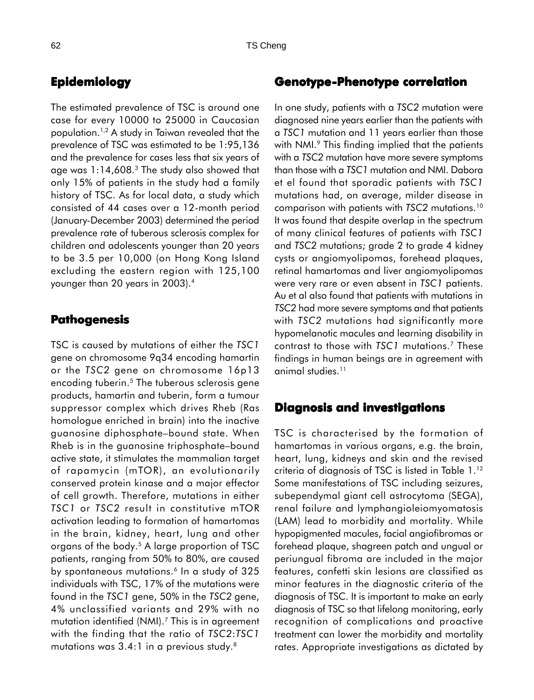# **Epidemiology**

The estimated prevalence of TSC is around one case for every 10000 to 25000 in Caucasian population.1,2 A study in Taiwan revealed that the prevalence of TSC was estimated to be 1:95,136 and the prevalence for cases less that six years of age was 1:14,608.3 The study also showed that only 15% of patients in the study had a family history of TSC. As for local data, a study which consisted of 44 cases over a 12-month period (January-December 2003) determined the period prevalence rate of tuberous sclerosis complex for children and adolescents younger than 20 years to be 3.5 per 10,000 (on Hong Kong Island excluding the eastern region with 125,100 younger than 20 years in 2003).4

### **Pathogenesis**

TSC is caused by mutations of either the *TSC1* gene on chromosome 9q34 encoding hamartin or the *TSC2* gene on chromosome 16p13 encoding tuberin.<sup>5</sup> The tuberous sclerosis gene products, hamartin and tuberin, form a tumour suppressor complex which drives Rheb (Ras homologue enriched in brain) into the inactive guanosine diphosphate–bound state. When Rheb is in the guanosine triphosphate–bound active state, it stimulates the mammalian target of rapamycin (mTOR), an evolutionarily conserved protein kinase and a major effector of cell growth. Therefore, mutations in either *TSC1* or *TSC2* result in constitutive mTOR activation leading to formation of hamartomas in the brain, kidney, heart, lung and other organs of the body.5 A large proportion of TSC patients, ranging from 50% to 80%, are caused by spontaneous mutations.<sup>6</sup> In a study of 325 individuals with TSC, 17% of the mutations were found in the *TSC1* gene, 50% in the *TSC2* gene, 4% unclassified variants and 29% with no mutation identified (NMI).<sup>7</sup> This is in agreement with the finding that the ratio of *TSC2*:*TSC1* mutations was 3.4:1 in a previous study.8

# **Genotype-Phenotype correlation**

In one study, patients with a *TSC2* mutation were diagnosed nine years earlier than the patients with a *TSC1* mutation and 11 years earlier than those with NMI.<sup>9</sup> This finding implied that the patients with a *TSC2* mutation have more severe symptoms than those with a *TSC1* mutation and NMI. Dabora et el found that sporadic patients with *TSC1* mutations had, on average, milder disease in comparison with patients with *TSC2* mutations.10 It was found that despite overlap in the spectrum of many clinical features of patients with *TSC1* and *TSC2* mutations; grade 2 to grade 4 kidney cysts or angiomyolipomas, forehead plaques, retinal hamartomas and liver angiomyolipomas were very rare or even absent in *TSC1* patients. Au et al also found that patients with mutations in *TSC2* had more severe symptoms and that patients with *TSC2* mutations had significantly more hypomelanotic macules and learning disability in contrast to those with *TSC1* mutations.7 These findings in human beings are in agreement with animal studies.11

### **Diagnosis and investigations**

TSC is characterised by the formation of hamartomas in various organs, e.g. the brain, heart, lung, kidneys and skin and the revised criteria of diagnosis of TSC is listed in Table 1.12 Some manifestations of TSC including seizures, subependymal giant cell astrocytoma (SEGA), renal failure and lymphangioleiomyomatosis (LAM) lead to morbidity and mortality. While hypopigmented macules, facial angiofibromas or forehead plaque, shagreen patch and ungual or periungual fibroma are included in the major features, confetti skin lesions are classified as minor features in the diagnostic criteria of the diagnosis of TSC. It is important to make an early diagnosis of TSC so that lifelong monitoring, early recognition of complications and proactive treatment can lower the morbidity and mortality rates. Appropriate investigations as dictated by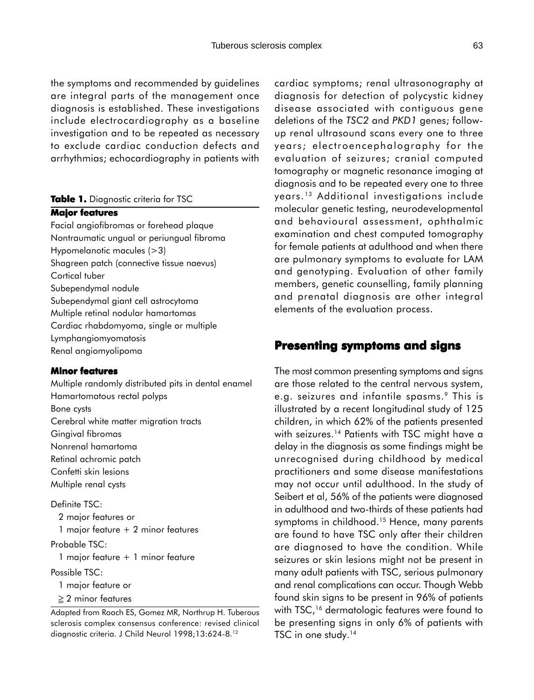the symptoms and recommended by guidelines are integral parts of the management once diagnosis is established. These investigations include electrocardiography as a baseline investigation and to be repeated as necessary to exclude cardiac conduction defects and arrhythmias; echocardiography in patients with

#### **Table 1.** Diagnostic criteria for TSC

#### **Major features**

Facial angiofibromas or forehead plaque Nontraumatic ungual or periungual fibroma Hypomelanotic macules (>3) Shagreen patch (connective tissue naevus) Cortical tuber Subependymal nodule Subependymal giant cell astrocytoma Multiple retinal nodular hamartomas Cardiac rhabdomyoma, single or multiple Lymphangiomyomatosis Renal angiomyolipoma

#### **Minor features**

Multiple randomly distributed pits in dental enamel Hamartomatous rectal polyps Bone cysts Cerebral white matter migration tracts Gingival fibromas Nonrenal hamartoma Retinal achromic patch Confetti skin lesions Multiple renal cysts

Definite TSC: 2 major features or 1 major feature + 2 minor features

Probable TSC:

1 major feature + 1 minor feature

Possible TSC:

1 major feature or

≥ 2 minor features

Adapted from Roach ES, Gomez MR, Northrup H. Tuberous sclerosis complex consensus conference: revised clinical diagnostic criteria. J Child Neurol 1998;13:624-8.12

cardiac symptoms; renal ultrasonography at diagnosis for detection of polycystic kidney disease associated with contiguous gene deletions of the *TSC2* and *PKD1* genes; followup renal ultrasound scans every one to three years; electroencephalography for the evaluation of seizures; cranial computed tomography or magnetic resonance imaging at diagnosis and to be repeated every one to three years. 13 Additional investigations include molecular genetic testing, neurodevelopmental and behavioural assessment, ophthalmic examination and chest computed tomography for female patients at adulthood and when there are pulmonary symptoms to evaluate for LAM and genotyping. Evaluation of other family members, genetic counselling, family planning and prenatal diagnosis are other integral elements of the evaluation process.

# **Presenting symptoms and signs**

The most common presenting symptoms and signs are those related to the central nervous system, e.g. seizures and infantile spasms.<sup>9</sup> This is illustrated by a recent longitudinal study of 125 children, in which 62% of the patients presented with seizures.<sup>14</sup> Patients with TSC might have a delay in the diagnosis as some findings might be unrecognised during childhood by medical practitioners and some disease manifestations may not occur until adulthood. In the study of Seibert et al, 56% of the patients were diagnosed in adulthood and two-thirds of these patients had symptoms in childhood.<sup>15</sup> Hence, many parents are found to have TSC only after their children are diagnosed to have the condition. While seizures or skin lesions might not be present in many adult patients with TSC, serious pulmonary and renal complications can occur. Though Webb found skin signs to be present in 96% of patients with TSC,<sup>16</sup> dermatologic features were found to be presenting signs in only 6% of patients with TSC in one study.<sup>14</sup>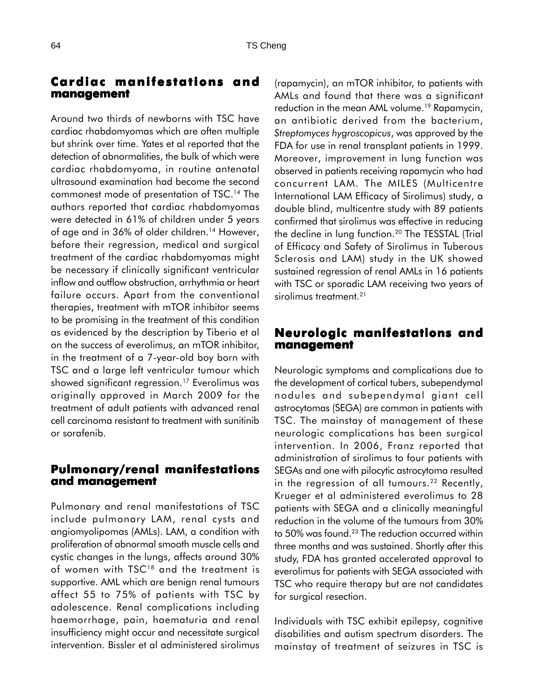# **Cardiac manifestations and management management**

Around two thirds of newborns with TSC have cardiac rhabdomyomas which are often multiple but shrink over time. Yates et al reported that the detection of abnormalities, the bulk of which were cardiac rhabdomyoma, in routine antenatal ultrasound examination had become the second commonest mode of presentation of TSC.14 The authors reported that cardiac rhabdomyomas were detected in 61% of children under 5 years of age and in 36% of older children.<sup>14</sup> However, before their regression, medical and surgical treatment of the cardiac rhabdomyomas might be necessary if clinically significant ventricular inflow and outflow obstruction, arrhythmia or heart failure occurs. Apart from the conventional therapies, treatment with mTOR inhibitor seems to be promising in the treatment of this condition as evidenced by the description by Tiberio et al on the success of everolimus, an mTOR inhibitor, in the treatment of a 7-year-old boy born with TSC and a large left ventricular tumour which showed significant regression.17 Everolimus was originally approved in March 2009 for the treatment of adult patients with advanced renal cell carcinoma resistant to treatment with sunitinib or sorafenib.

# **Pulmonary/renal manifestations and management and management**

Pulmonary and renal manifestations of TSC include pulmonary LAM, renal cysts and angiomyolipomas (AMLs). LAM, a condition with proliferation of abnormal smooth muscle cells and cystic changes in the lungs, affects around 30% of women with TSC<sup>18</sup> and the treatment is supportive. AML which are benign renal tumours affect 55 to 75% of patients with TSC by adolescence. Renal complications including haemorrhage, pain, haematuria and renal insufficiency might occur and necessitate surgical intervention. Bissler et al administered sirolimus

(rapamycin), an mTOR inhibitor, to patients with AMLs and found that there was a significant reduction in the mean AML volume.19 Rapamycin, an antibiotic derived from the bacterium, *Streptomyces hygroscopicus*, was approved by the FDA for use in renal transplant patients in 1999. Moreover, improvement in lung function was observed in patients receiving rapamycin who had concurrent LAM. The MILES (Multicentre International LAM Efficacy of Sirolimus) study, a double blind, multicentre study with 89 patients confirmed that sirolimus was effective in reducing the decline in lung function.<sup>20</sup> The TESSTAL (Trial of Efficacy and Safety of Sirolimus in Tuberous Sclerosis and LAM) study in the UK showed sustained regression of renal AMLs in 16 patients with TSC or sporadic LAM receiving two years of sirolimus treatment.<sup>21</sup>

# **Neurologic manifestations and management**

Neurologic symptoms and complications due to the development of cortical tubers, subependymal nodules and subependymal giant cell astrocytomas (SEGA) are common in patients with TSC. The mainstay of management of these neurologic complications has been surgical intervention. In 2006, Franz reported that administration of sirolimus to four patients with SEGAs and one with pilocytic astrocytoma resulted in the regression of all tumours.<sup>22</sup> Recently, Krueger et al administered everolimus to 28 patients with SEGA and a clinically meaningful reduction in the volume of the tumours from 30% to 50% was found.<sup>23</sup> The reduction occurred within three months and was sustained. Shortly after this study, FDA has granted accelerated approval to everolimus for patients with SEGA associated with TSC who require therapy but are not candidates for surgical resection.

Individuals with TSC exhibit epilepsy, cognitive disabilities and autism spectrum disorders. The mainstay of treatment of seizures in TSC is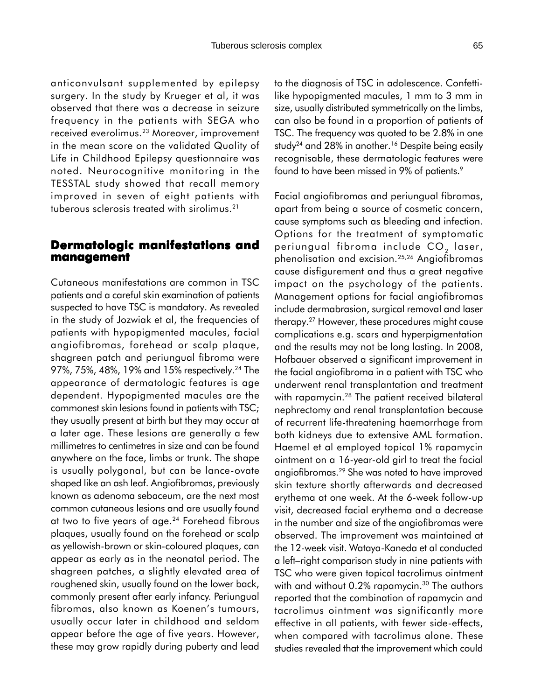anticonvulsant supplemented by epilepsy surgery. In the study by Krueger et al, it was observed that there was a decrease in seizure frequency in the patients with SEGA who received everolimus.23 Moreover, improvement in the mean score on the validated Quality of Life in Childhood Epilepsy questionnaire was noted. Neurocognitive monitoring in the TESSTAL study showed that recall memory improved in seven of eight patients with tuberous sclerosis treated with sirolimus.21

## **Dermatologic manifestations and management management**

Cutaneous manifestations are common in TSC patients and a careful skin examination of patients suspected to have TSC is mandatory. As revealed in the study of Jozwiak et al, the frequencies of patients with hypopigmented macules, facial angiofibromas, forehead or scalp plaque, shagreen patch and periungual fibroma were 97%, 75%, 48%, 19% and 15% respectively.<sup>24</sup> The appearance of dermatologic features is age dependent. Hypopigmented macules are the commonest skin lesions found in patients with TSC; they usually present at birth but they may occur at a later age. These lesions are generally a few millimetres to centimetres in size and can be found anywhere on the face, limbs or trunk. The shape is usually polygonal, but can be lance-ovate shaped like an ash leaf. Angiofibromas, previously known as adenoma sebaceum, are the next most common cutaneous lesions and are usually found at two to five years of age.<sup>24</sup> Forehead fibrous plaques, usually found on the forehead or scalp as yellowish-brown or skin-coloured plaques, can appear as early as in the neonatal period. The shagreen patches, a slightly elevated area of roughened skin, usually found on the lower back, commonly present after early infancy. Periungual fibromas, also known as Koenen's tumours, usually occur later in childhood and seldom appear before the age of five years. However, these may grow rapidly during puberty and lead

to the diagnosis of TSC in adolescence. Confettilike hypopigmented macules, 1 mm to 3 mm in size, usually distributed symmetrically on the limbs, can also be found in a proportion of patients of TSC. The frequency was quoted to be 2.8% in one study<sup>24</sup> and 28% in another.<sup>16</sup> Despite being easily recognisable, these dermatologic features were found to have been missed in 9% of patients.<sup>9</sup>

Facial angiofibromas and periungual fibromas, apart from being a source of cosmetic concern, cause symptoms such as bleeding and infection. Options for the treatment of symptomatic periungual fibroma include  $CO<sub>2</sub>$  laser, phenolisation and excision.25,26 Angiofibromas cause disfigurement and thus a great negative impact on the psychology of the patients. Management options for facial angiofibromas include dermabrasion, surgical removal and laser therapy.27 However, these procedures might cause complications e.g. scars and hyperpigmentation and the results may not be long lasting. In 2008, Hofbauer observed a significant improvement in the facial angiofibroma in a patient with TSC who underwent renal transplantation and treatment with rapamycin.<sup>28</sup> The patient received bilateral nephrectomy and renal transplantation because of recurrent life-threatening haemorrhage from both kidneys due to extensive AML formation. Haemel et al employed topical 1% rapamycin ointment on a 16-year-old girl to treat the facial angiofibromas.29 She was noted to have improved skin texture shortly afterwards and decreased erythema at one week. At the 6-week follow-up visit, decreased facial erythema and a decrease in the number and size of the angiofibromas were observed. The improvement was maintained at the 12-week visit. Wataya-Kaneda et al conducted a left–right comparison study in nine patients with TSC who were given topical tacrolimus ointment with and without 0.2% rapamycin.<sup>30</sup> The authors reported that the combination of rapamycin and tacrolimus ointment was significantly more effective in all patients, with fewer side-effects, when compared with tacrolimus alone. These studies revealed that the improvement which could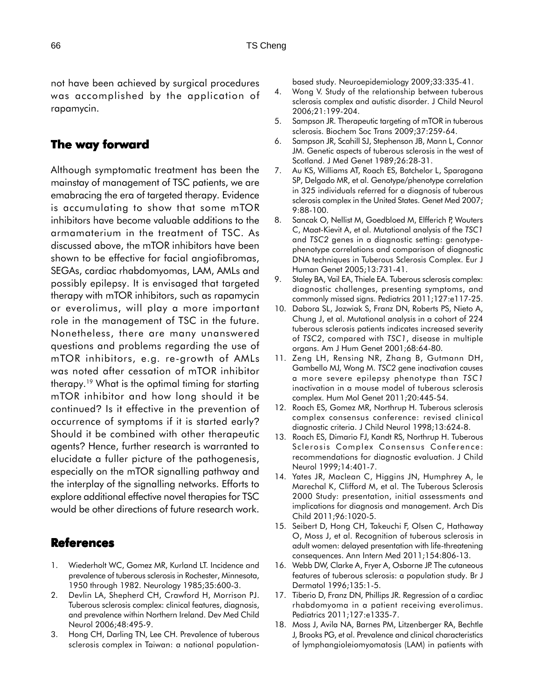not have been achieved by surgical procedures was accomplished by the application of rapamycin.

# **The way forward**

Although symptomatic treatment has been the mainstay of management of TSC patients, we are emabracing the era of targeted therapy. Evidence is accumulating to show that some mTOR inhibitors have become valuable additions to the armamaterium in the treatment of TSC. As discussed above, the mTOR inhibitors have been shown to be effective for facial angiofibromas, SEGAs, cardiac rhabdomyomas, LAM, AMLs and possibly epilepsy. It is envisaged that targeted therapy with mTOR inhibitors, such as rapamycin or everolimus, will play a more important role in the management of TSC in the future. Nonetheless, there are many unanswered questions and problems regarding the use of mTOR inhibitors, e.g. re-growth of AMLs was noted after cessation of mTOR inhibitor therapy.19 What is the optimal timing for starting mTOR inhibitor and how long should it be continued? Is it effective in the prevention of occurrence of symptoms if it is started early? Should it be combined with other therapeutic agents? Hence, further research is warranted to elucidate a fuller picture of the pathogenesis, especially on the mTOR signalling pathway and the interplay of the signalling networks. Efforts to explore additional effective novel therapies for TSC would be other directions of future research work.

# **References**

- 1. Wiederholt WC, Gomez MR, Kurland LT. Incidence and prevalence of tuberous sclerosis in Rochester, Minnesota, 1950 through 1982. Neurology 1985;35:600-3.
- 2. Devlin LA, Shepherd CH, Crawford H, Morrison PJ. Tuberous sclerosis complex: clinical features, diagnosis, and prevalence within Northern Ireland. Dev Med Child Neurol 2006;48:495-9.
- 3. Hong CH, Darling TN, Lee CH. Prevalence of tuberous sclerosis complex in Taiwan: a national population-

based study. Neuroepidemiology 2009;33:335-41.

- 4. Wong V. Study of the relationship between tuberous sclerosis complex and autistic disorder. J Child Neurol 2006;21:199-204.
- 5. Sampson JR. Therapeutic targeting of mTOR in tuberous sclerosis. Biochem Soc Trans 2009;37:259-64.
- 6. Sampson JR, Scahill SJ, Stephenson JB, Mann L, Connor JM. Genetic aspects of tuberous sclerosis in the west of Scotland. J Med Genet 1989;26:28-31.
- 7. Au KS, Williams AT, Roach ES, Batchelor L, Sparagana SP, Delgado MR, et al. Genotype/phenotype correlation in 325 individuals referred for a diagnosis of tuberous sclerosis complex in the United States. Genet Med 2007; 9:88-100.
- 8. Sancak O, Nellist M, Goedbloed M, Elfferich P, Wouters C, Maat-Kievit A, et al. Mutational analysis of the *TSC1* and *TSC2* genes in a diagnostic setting: genotypephenotype correlations and comparison of diagnostic DNA techniques in Tuberous Sclerosis Complex. Eur J Human Genet 2005;13:731-41.
- 9. Staley BA, Vail EA, Thiele EA. Tuberous sclerosis complex: diagnostic challenges, presenting symptoms, and commonly missed signs. Pediatrics 2011;127:e117-25.
- 10. Dabora SL, Jozwiak S, Franz DN, Roberts PS, Nieto A, Chung J, et al. Mutational analysis in a cohort of 224 tuberous sclerosis patients indicates increased severity of *TSC2*, compared with *TSC1*, disease in multiple organs. Am J Hum Genet 2001;68:64-80.
- 11. Zeng LH, Rensing NR, Zhang B, Gutmann DH, Gambello MJ, Wong M. *TSC2* gene inactivation causes a more severe epilepsy phenotype than *TSC1* inactivation in a mouse model of tuberous sclerosis complex. Hum Mol Genet 2011;20:445-54.
- 12. Roach ES, Gomez MR, Northrup H. Tuberous sclerosis complex consensus conference: revised clinical diagnostic criteria. J Child Neurol 1998;13:624-8.
- 13. Roach ES, Dimario FJ, Kandt RS, Northrup H. Tuberous Sclerosis Complex Consensus Conference: recommendations for diagnostic evaluation. J Child Neurol 1999;14:401-7.
- 14. Yates JR, Maclean C, Higgins JN, Humphrey A, le Marechal K, Clifford M, et al. The Tuberous Sclerosis 2000 Study: presentation, initial assessments and implications for diagnosis and management. Arch Dis Child 2011;96:1020-5.
- 15. Seibert D, Hong CH, Takeuchi F, Olsen C, Hathaway O, Moss J, et al. Recognition of tuberous sclerosis in adult women: delayed presentation with life-threatening consequences. Ann Intern Med 2011;154:806-13.
- 16. Webb DW, Clarke A, Fryer A, Osborne JP. The cutaneous features of tuberous sclerosis: a population study. Br J Dermatol 1996;135:1-5.
- 17. Tiberio D, Franz DN, Phillips JR. Regression of a cardiac rhabdomyoma in a patient receiving everolimus. Pediatrics 2011;127:e1335-7.
- 18. Moss J, Avila NA, Barnes PM, Litzenberger RA, Bechtle J, Brooks PG, et al. Prevalence and clinical characteristics of lymphangioleiomyomatosis (LAM) in patients with